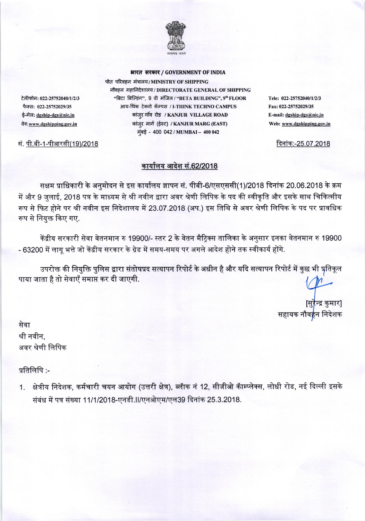

भारत सरकार / GOVERNMENT OF INDIA

पोत परिवहन मंत्रालय/MINISTRY OF SHIPPING नौवहन महानिदेशालय / DIRECTORATE GENERAL OF SHIPPING "बिटा बिल्डिंग", 9 वी मंजिल / "BETA BUILDING", 9th FLOOR आय-थिंक टेक्नो कॅम्पस / I-THINK TECHNO CAMPUS कांज़्र गाॅव रोड / KANJUR VILLAGE ROAD कांज़्र मार्ग (ईस्ट) / KANJUR MARG (EAST) मुंबई - 400 042 / MUMBAI - 400 042

Tele: 022-25752040/1/2/3 Fax: 022-25752029/35 E-mail: dgship-dgs@nic.in Web: www.dgshipping.gov.in

दिनांक:-25.07.2018

टेलीफोन: 022-25752040/1/2/3 फैक्स: 022-25752029/35 ई-मेल: dgship-dgs@nic.in वेब: www.dgshipping.gov.in

सं. पी.बी-1-पीआरसी(19)/2018

## कार्यालय आदेश सं.62/2018

सक्षम प्राधिकारी के अनुमोदन से इस कार्यालय ज्ञापन सं. पीबी-6/एसएससी(1)/2018 दिनांक 20.06.2018 के क्रम में और 9 जुलाई, 2018 पत्र के माध्यम से श्री नवीन द्वारा अवर श्रेणी लिपिक के पद की स्वीकृति और इसके साथ चिकित्सीय रूप से फिट होने पर श्री नवीन इस निदेशालय में 23.07.2018 (अप.) इस तिथि से अवर श्रेणी लिपिक के पद पर प्रावधिक रूप से नियुक्त किए गए.

केंद्रीय सरकारी सेवा वेतनमान रु 19900/- स्तर 2 के वेतन मैट्रिक्स तालिका के अनुसार इनका वेतनमान रु 19900 - 63200 में लागू भत्ते जो केंद्रीय सरकार के ग्रेड में समय-समय पर अगले आदेश होने तक स्वीकार्य होंगे.

उपरोक्त की नियुक्ति पुलिस द्वारा संतोषप्रद सत्यापन रिपोर्ट के अधीन है और यदि सत्यापन रिपोर्ट में कुछ भी प्रतिकूल पाया जाता है तो सेवाएँ समाप्त कर दी जाएगी.

[सुरैन्द्र कुमार] सहायक नौव<mark>ह</mark>न निदेशक

सेवा श्री नवीन. अवर श्रेणी लिपिक

प्रतिलिपि :-

क्षेत्रीय निदेशक, कर्मचारी चयन आयोग (उत्तरी क्षेत्र), ब्लॅाक नं 12, सीजीओ कॅाम्प्लेक्स, लोधी रोड, नई दिल्ली इसके  $1.$ संबंध में पत्र संख्या 11/1/2018-एनडी. । /एनओएम/एल39 दिनांक 25.3.2018.